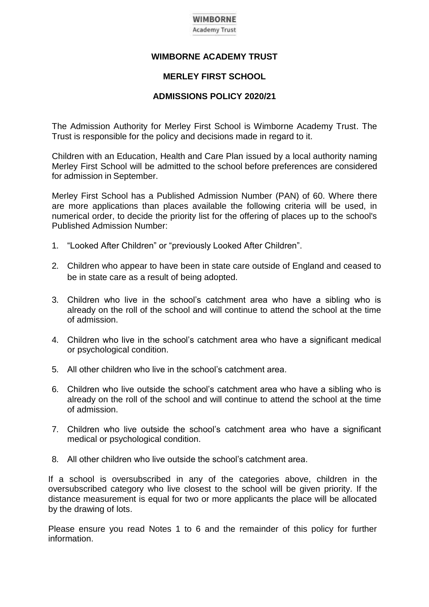# **WIMBORNE**

**Academy Trust** 

# **WIMBORNE ACADEMY TRUST**

# **MERLEY FIRST SCHOOL**

# **ADMISSIONS POLICY 2020/21**

The Admission Authority for Merley First School is Wimborne Academy Trust. The Trust is responsible for the policy and decisions made in regard to it.

Children with an Education, Health and Care Plan issued by a local authority naming Merley First School will be admitted to the school before preferences are considered for admission in September.

Merley First School has a Published Admission Number (PAN) of 60. Where there are more applications than places available the following criteria will be used, in numerical order, to decide the priority list for the offering of places up to the school's Published Admission Number:

- 1. "Looked After Children" or "previously Looked After Children".
- 2. Children who appear to have been in state care outside of England and ceased to be in state care as a result of being adopted.
- 3. Children who live in the school's catchment area who have a sibling who is already on the roll of the school and will continue to attend the school at the time of admission.
- 4. Children who live in the school's catchment area who have a significant medical or psychological condition.
- 5. All other children who live in the school's catchment area.
- 6. Children who live outside the school's catchment area who have a sibling who is already on the roll of the school and will continue to attend the school at the time of admission.
- 7. Children who live outside the school's catchment area who have a significant medical or psychological condition.
- 8. All other children who live outside the school's catchment area.

If a school is oversubscribed in any of the categories above, children in the oversubscribed category who live closest to the school will be given priority. If the distance measurement is equal for two or more applicants the place will be allocated by the drawing of lots.

Please ensure you read Notes 1 to 6 and the remainder of this policy for further information.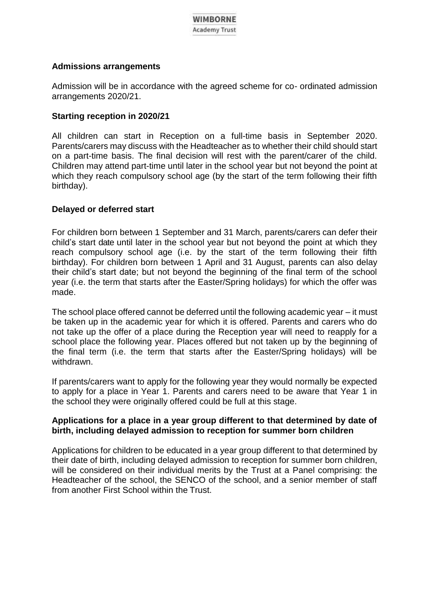# **Admissions arrangements**

Admission will be in accordance with the agreed scheme for co- ordinated admission arrangements 2020/21.

# **Starting reception in 2020/21**

All children can start in Reception on a full-time basis in September 2020. Parents/carers may discuss with the Headteacher as to whether their child should start on a part-time basis. The final decision will rest with the parent/carer of the child. Children may attend part-time until later in the school year but not beyond the point at which they reach compulsory school age (by the start of the term following their fifth birthday).

# **Delayed or deferred start**

For children born between 1 September and 31 March, parents/carers can defer their child's start date until later in the school year but not beyond the point at which they reach compulsory school age (i.e. by the start of the term following their fifth birthday). For children born between 1 April and 31 August, parents can also delay their child's start date; but not beyond the beginning of the final term of the school year (i.e. the term that starts after the Easter/Spring holidays) for which the offer was made.

The school place offered cannot be deferred until the following academic year – it must be taken up in the academic year for which it is offered. Parents and carers who do not take up the offer of a place during the Reception year will need to reapply for a school place the following year. Places offered but not taken up by the beginning of the final term (i.e. the term that starts after the Easter/Spring holidays) will be withdrawn.

If parents/carers want to apply for the following year they would normally be expected to apply for a place in Year 1. Parents and carers need to be aware that Year 1 in the school they were originally offered could be full at this stage.

# **Applications for a place in a year group different to that determined by date of birth, including delayed admission to reception for summer born children**

Applications for children to be educated in a year group different to that determined by their date of birth, including delayed admission to reception for summer born children, will be considered on their individual merits by the Trust at a Panel comprising: the Headteacher of the school, the SENCO of the school, and a senior member of staff from another First School within the Trust.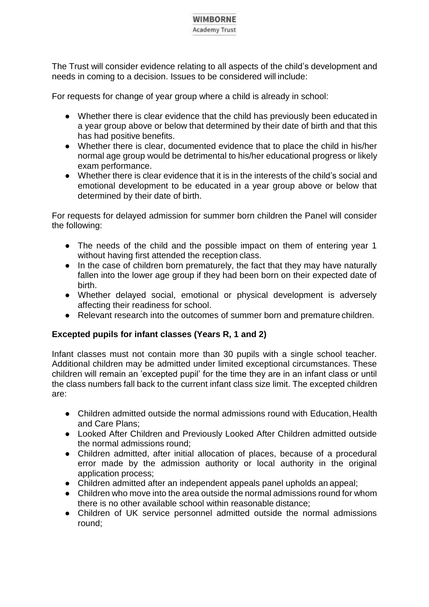# **WIMBORNE**

#### **Academy Trust**

The Trust will consider evidence relating to all aspects of the child's development and needs in coming to a decision. Issues to be considered will include:

For requests for change of year group where a child is already in school:

- Whether there is clear evidence that the child has previously been educated in a year group above or below that determined by their date of birth and that this has had positive benefits.
- Whether there is clear, documented evidence that to place the child in his/her normal age group would be detrimental to his/her educational progress or likely exam performance.
- Whether there is clear evidence that it is in the interests of the child's social and emotional development to be educated in a year group above or below that determined by their date of birth.

For requests for delayed admission for summer born children the Panel will consider the following:

- The needs of the child and the possible impact on them of entering year 1 without having first attended the reception class.
- In the case of children born prematurely, the fact that they may have naturally fallen into the lower age group if they had been born on their expected date of birth.
- Whether delayed social, emotional or physical development is adversely affecting their readiness for school.
- Relevant research into the outcomes of summer born and premature children.

# **Excepted pupils for infant classes (Years R, 1 and 2)**

Infant classes must not contain more than 30 pupils with a single school teacher. Additional children may be admitted under limited exceptional circumstances. These children will remain an 'excepted pupil' for the time they are in an infant class or until the class numbers fall back to the current infant class size limit. The excepted children are:

- Children admitted outside the normal admissions round with Education, Health and Care Plans;
- Looked After Children and Previously Looked After Children admitted outside the normal admissions round;
- Children admitted, after initial allocation of places, because of a procedural error made by the admission authority or local authority in the original application process;
- Children admitted after an independent appeals panel upholds an appeal;
- Children who move into the area outside the normal admissions round for whom there is no other available school within reasonable distance;
- Children of UK service personnel admitted outside the normal admissions round;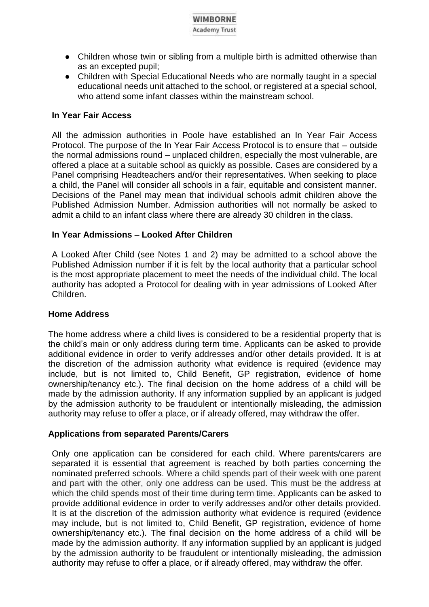- Children whose twin or sibling from a multiple birth is admitted otherwise than as an excepted pupil;
- Children with Special Educational Needs who are normally taught in a special educational needs unit attached to the school, or registered at a special school, who attend some infant classes within the mainstream school.

# **In Year Fair Access**

All the admission authorities in Poole have established an In Year Fair Access Protocol. The purpose of the In Year Fair Access Protocol is to ensure that – outside the normal admissions round – unplaced children, especially the most vulnerable, are offered a place at a suitable school as quickly as possible. Cases are considered by a Panel comprising Headteachers and/or their representatives. When seeking to place a child, the Panel will consider all schools in a fair, equitable and consistent manner. Decisions of the Panel may mean that individual schools admit children above the Published Admission Number. Admission authorities will not normally be asked to admit a child to an infant class where there are already 30 children in the class.

# **In Year Admissions – Looked After Children**

A Looked After Child (see Notes 1 and 2) may be admitted to a school above the Published Admission number if it is felt by the local authority that a particular school is the most appropriate placement to meet the needs of the individual child. The local authority has adopted a Protocol for dealing with in year admissions of Looked After Children.

# **Home Address**

The home address where a child lives is considered to be a residential property that is the child's main or only address during term time. Applicants can be asked to provide additional evidence in order to verify addresses and/or other details provided. It is at the discretion of the admission authority what evidence is required (evidence may include, but is not limited to, Child Benefit, GP registration, evidence of home ownership/tenancy etc.). The final decision on the home address of a child will be made by the admission authority. If any information supplied by an applicant is judged by the admission authority to be fraudulent or intentionally misleading, the admission authority may refuse to offer a place, or if already offered, may withdraw the offer.

# **Applications from separated Parents/Carers**

Only one application can be considered for each child. Where parents/carers are separated it is essential that agreement is reached by both parties concerning the nominated preferred schools. Where a child spends part of their week with one parent and part with the other, only one address can be used. This must be the address at which the child spends most of their time during term time. Applicants can be asked to provide additional evidence in order to verify addresses and/or other details provided. It is at the discretion of the admission authority what evidence is required (evidence may include, but is not limited to, Child Benefit, GP registration, evidence of home ownership/tenancy etc.). The final decision on the home address of a child will be made by the admission authority. If any information supplied by an applicant is judged by the admission authority to be fraudulent or intentionally misleading, the admission authority may refuse to offer a place, or if already offered, may withdraw the offer.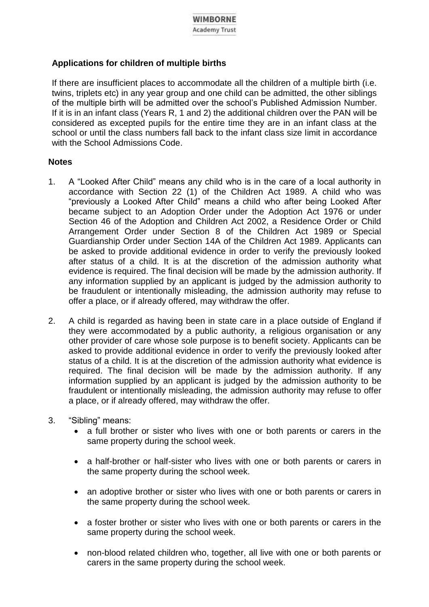# **Applications for children of multiple births**

If there are insufficient places to accommodate all the children of a multiple birth (i.e. twins, triplets etc) in any year group and one child can be admitted, the other siblings of the multiple birth will be admitted over the school's Published Admission Number. If it is in an infant class (Years R, 1 and 2) the additional children over the PAN will be considered as excepted pupils for the entire time they are in an infant class at the school or until the class numbers fall back to the infant class size limit in accordance with the School Admissions Code.

# **Notes**

- 1. A "Looked After Child" means any child who is in the care of a local authority in accordance with Section 22 (1) of the Children Act 1989. A child who was "previously a Looked After Child" means a child who after being Looked After became subject to an Adoption Order under the Adoption Act 1976 or under Section 46 of the Adoption and Children Act 2002, a Residence Order or Child Arrangement Order under Section 8 of the Children Act 1989 or Special Guardianship Order under Section 14A of the Children Act 1989. Applicants can be asked to provide additional evidence in order to verify the previously looked after status of a child. It is at the discretion of the admission authority what evidence is required. The final decision will be made by the admission authority. If any information supplied by an applicant is judged by the admission authority to be fraudulent or intentionally misleading, the admission authority may refuse to offer a place, or if already offered, may withdraw the offer.
- 2. A child is regarded as having been in state care in a place outside of England if they were accommodated by a public authority, a religious organisation or any other provider of care whose sole purpose is to benefit society. Applicants can be asked to provide additional evidence in order to verify the previously looked after status of a child. It is at the discretion of the admission authority what evidence is required. The final decision will be made by the admission authority. If any information supplied by an applicant is judged by the admission authority to be fraudulent or intentionally misleading, the admission authority may refuse to offer a place, or if already offered, may withdraw the offer.
- 3. "Sibling" means:
	- a full brother or sister who lives with one or both parents or carers in the same property during the school week.
	- a half-brother or half-sister who lives with one or both parents or carers in the same property during the school week.
	- an adoptive brother or sister who lives with one or both parents or carers in the same property during the school week.
	- a foster brother or sister who lives with one or both parents or carers in the same property during the school week.
	- non-blood related children who, together, all live with one or both parents or carers in the same property during the school week.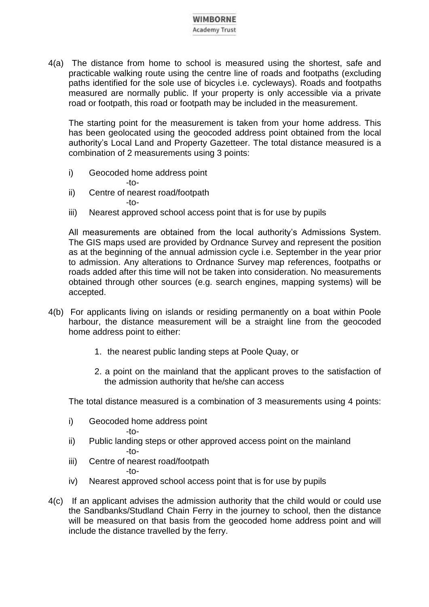4(a) The distance from home to school is measured using the shortest, safe and practicable walking route using the centre line of roads and footpaths (excluding paths identified for the sole use of bicycles i.e. cycleways). Roads and footpaths measured are normally public. If your property is only accessible via a private road or footpath, this road or footpath may be included in the measurement.

The starting point for the measurement is taken from your home address. This has been geolocated using the geocoded address point obtained from the local authority's Local Land and Property Gazetteer. The total distance measured is a combination of 2 measurements using 3 points:

i) Geocoded home address point

 $-t$  $-$ 

- ii) Centre of nearest road/footpath  $-t$  $-$
- iii) Nearest approved school access point that is for use by pupils

All measurements are obtained from the local authority's Admissions System. The GIS maps used are provided by Ordnance Survey and represent the position as at the beginning of the annual admission cycle i.e. September in the year prior to admission. Any alterations to Ordnance Survey map references, footpaths or roads added after this time will not be taken into consideration. No measurements obtained through other sources (e.g. search engines, mapping systems) will be accepted.

- 4(b) For applicants living on islands or residing permanently on a boat within Poole harbour, the distance measurement will be a straight line from the geocoded home address point to either:
	- 1. the nearest public landing steps at Poole Quay, or
	- 2. a point on the mainland that the applicant proves to the satisfaction of the admission authority that he/she can access

The total distance measured is a combination of 3 measurements using 4 points:

- i) Geocoded home address point  $-t$  $-$
- ii) Public landing steps or other approved access point on the mainland -to-
- iii) Centre of nearest road/footpath -to-
- iv) Nearest approved school access point that is for use by pupils
- 4(c) If an applicant advises the admission authority that the child would or could use the Sandbanks/Studland Chain Ferry in the journey to school, then the distance will be measured on that basis from the geocoded home address point and will include the distance travelled by the ferry.